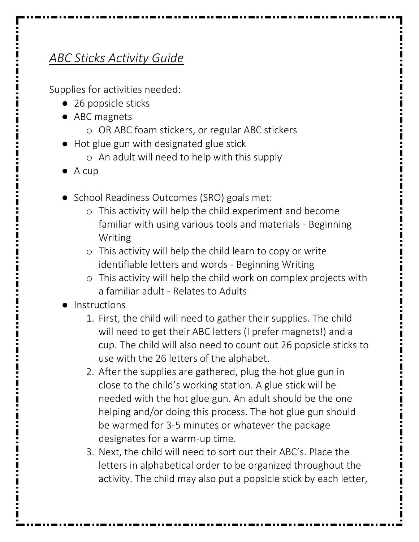## *ABC Sticks Activity Guide*

Supplies for activities needed:

- 26 popsicle sticks
- ABC magnets
	- o OR ABC foam stickers, or regular ABC stickers
- Hot glue gun with designated glue stick
	- o An adult will need to help with this supply
- A cup
- School Readiness Outcomes (SRO) goals met:
	- o This activity will help the child experiment and become familiar with using various tools and materials - Beginning Writing
	- o This activity will help the child learn to copy or write identifiable letters and words - Beginning Writing
	- o This activity will help the child work on complex projects with a familiar adult - Relates to Adults
- **Instructions** 
	- 1. First, the child will need to gather their supplies. The child will need to get their ABC letters (I prefer magnets!) and a cup. The child will also need to count out 26 popsicle sticks to use with the 26 letters of the alphabet.
	- 2. After the supplies are gathered, plug the hot glue gun in close to the child's working station. A glue stick will be needed with the hot glue gun. An adult should be the one helping and/or doing this process. The hot glue gun should be warmed for 3-5 minutes or whatever the package designates for a warm-up time.
	- 3. Next, the child will need to sort out their ABC's. Place the letters in alphabetical order to be organized throughout the activity. The child may also put a popsicle stick by each letter,